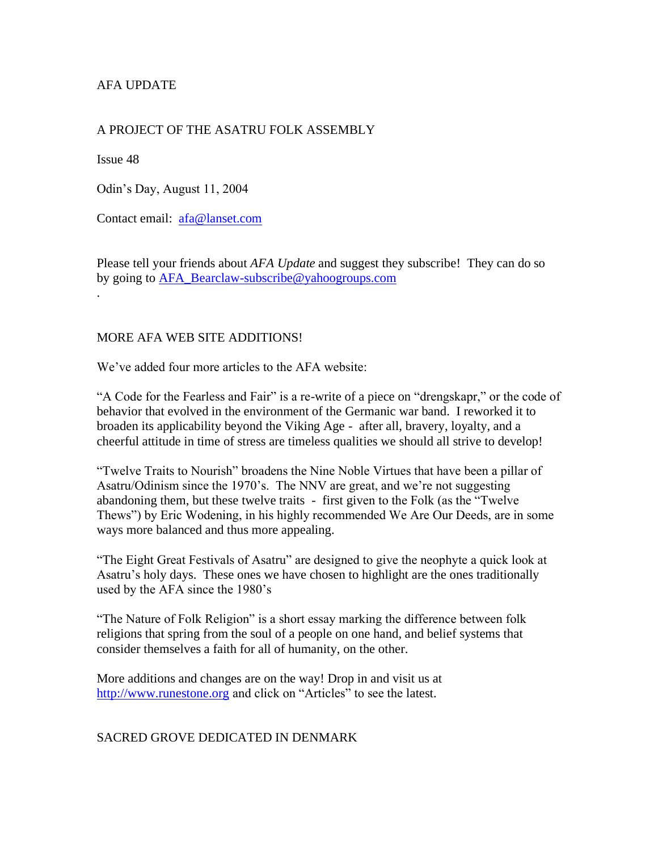# AFA UPDATE

## A PROJECT OF THE ASATRU FOLK ASSEMBLY

Issue 48

Odin's Day, August 11, 2004

Contact email: [afa@lanset.com](mailto:afa@lanset.com)

Please tell your friends about *AFA Update* and suggest they subscribe! They can do so by going to [AFA\\_Bearclaw-subscribe@yahoogroups.com](mailto:AFA_Bearclaw-subscribe@yahoogroups.com) .

#### MORE AFA WEB SITE ADDITIONS!

We've added four more articles to the AFA website:

"A Code for the Fearless and Fair" is a re-write of a piece on "drengskapr," or the code of behavior that evolved in the environment of the Germanic war band. I reworked it to broaden its applicability beyond the Viking Age - after all, bravery, loyalty, and a cheerful attitude in time of stress are timeless qualities we should all strive to develop!

"Twelve Traits to Nourish" broadens the Nine Noble Virtues that have been a pillar of Asatru/Odinism since the 1970's. The NNV are great, and we're not suggesting abandoning them, but these twelve traits - first given to the Folk (as the "Twelve Thews") by Eric Wodening, in his highly recommended We Are Our Deeds, are in some ways more balanced and thus more appealing.

"The Eight Great Festivals of Asatru" are designed to give the neophyte a quick look at Asatru's holy days. These ones we have chosen to highlight are the ones traditionally used by the AFA since the 1980's

"The Nature of Folk Religion" is a short essay marking the difference between folk religions that spring from the soul of a people on one hand, and belief systems that consider themselves a faith for all of humanity, on the other.

More additions and changes are on the way! Drop in and visit us at [http://www.runestone.org](http://www.runestone.org/) and click on "Articles" to see the latest.

#### SACRED GROVE DEDICATED IN DENMARK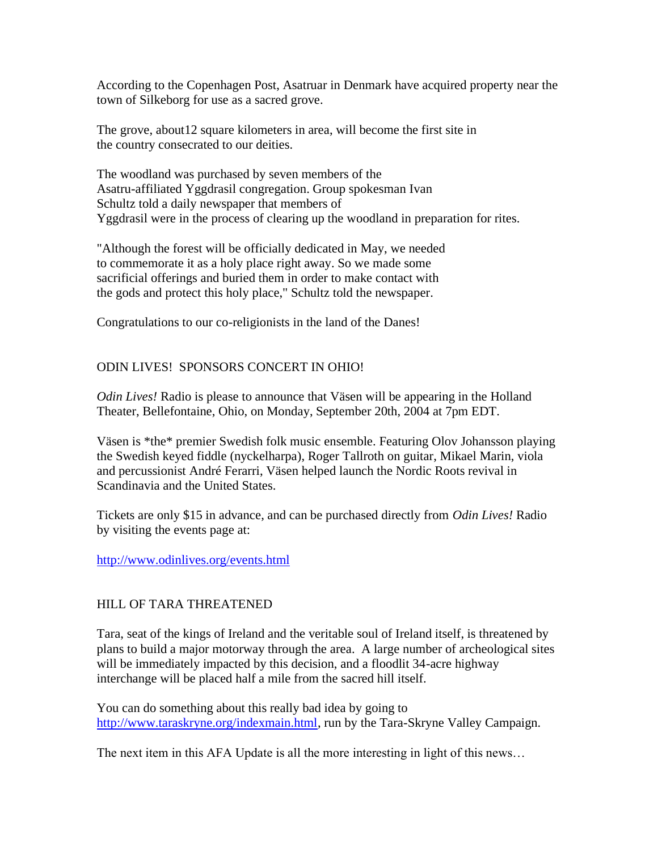According to the Copenhagen Post, Asatruar in Denmark have acquired property near the town of Silkeborg for use as a sacred grove.

The grove, about12 square kilometers in area, will become the first site in the country consecrated to our deities.

The woodland was purchased by seven members of the Asatru-affiliated Yggdrasil congregation. Group spokesman Ivan Schultz told a daily newspaper that members of Yggdrasil were in the process of clearing up the woodland in preparation for rites.

"Although the forest will be officially dedicated in May, we needed to commemorate it as a holy place right away. So we made some sacrificial offerings and buried them in order to make contact with the gods and protect this holy place," Schultz told the newspaper.

Congratulations to our co-religionists in the land of the Danes!

# ODIN LIVES! SPONSORS CONCERT IN OHIO!

*Odin Lives!* Radio is please to announce that Väsen will be appearing in the Holland Theater, Bellefontaine, Ohio, on Monday, September 20th, 2004 at 7pm EDT.

Väsen is \*the\* premier Swedish folk music ensemble. Featuring Olov Johansson playing the Swedish keyed fiddle (nyckelharpa), Roger Tallroth on guitar, Mikael Marin, viola and percussionist André Ferarri, Väsen helped launch the Nordic Roots revival in Scandinavia and the United States.

Tickets are only \$15 in advance, and can be purchased directly from *Odin Lives!* Radio by visiting the events page at:

<http://www.odinlives.org/events.html>

# HILL OF TARA THREATENED

Tara, seat of the kings of Ireland and the veritable soul of Ireland itself, is threatened by plans to build a major motorway through the area. A large number of archeological sites will be immediately impacted by this decision, and a floodlit 34-acre highway interchange will be placed half a mile from the sacred hill itself.

You can do something about this really bad idea by going to [http://www.taraskryne.org/indexmain.html,](http://www.taraskryne.org/indexmain.html) run by the Tara-Skryne Valley Campaign.

The next item in this AFA Update is all the more interesting in light of this news…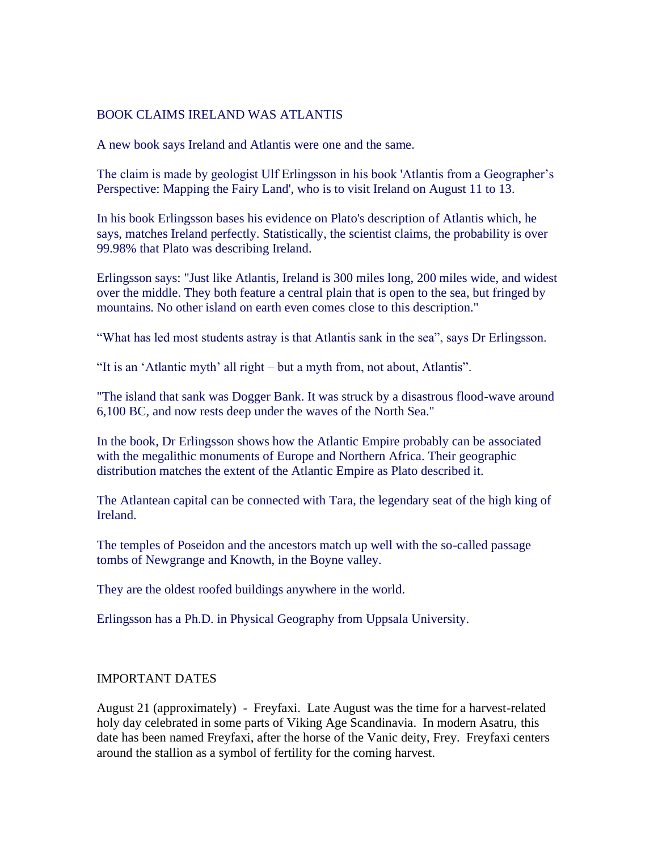## BOOK CLAIMS IRELAND WAS ATLANTIS

A new book says Ireland and Atlantis were one and the same.

The claim is made by geologist Ulf Erlingsson in his book 'Atlantis from a Geographer's Perspective: Mapping the Fairy Land', who is to visit Ireland on August 11 to 13.

In his book Erlingsson bases his evidence on Plato's description of Atlantis which, he says, matches Ireland perfectly. Statistically, the scientist claims, the probability is over 99.98% that Plato was describing Ireland.

Erlingsson says: "Just like Atlantis, Ireland is 300 miles long, 200 miles wide, and widest over the middle. They both feature a central plain that is open to the sea, but fringed by mountains. No other island on earth even comes close to this description."

"What has led most students astray is that Atlantis sank in the sea", says Dr Erlingsson.

"It is an 'Atlantic myth' all right – but a myth from, not about, Atlantis".

"The island that sank was Dogger Bank. It was struck by a disastrous flood-wave around 6,100 BC, and now rests deep under the waves of the North Sea."

In the book, Dr Erlingsson shows how the Atlantic Empire probably can be associated with the megalithic monuments of Europe and Northern Africa. Their geographic distribution matches the extent of the Atlantic Empire as Plato described it.

The Atlantean capital can be connected with Tara, the legendary seat of the high king of Ireland.

The temples of Poseidon and the ancestors match up well with the so-called passage tombs of Newgrange and Knowth, in the Boyne valley.

They are the oldest roofed buildings anywhere in the world.

Erlingsson has a Ph.D. in Physical Geography from Uppsala University.

#### IMPORTANT DATES

August 21 (approximately) - Freyfaxi. Late August was the time for a harvest-related holy day celebrated in some parts of Viking Age Scandinavia. In modern Asatru, this date has been named Freyfaxi, after the horse of the Vanic deity, Frey. Freyfaxi centers around the stallion as a symbol of fertility for the coming harvest.